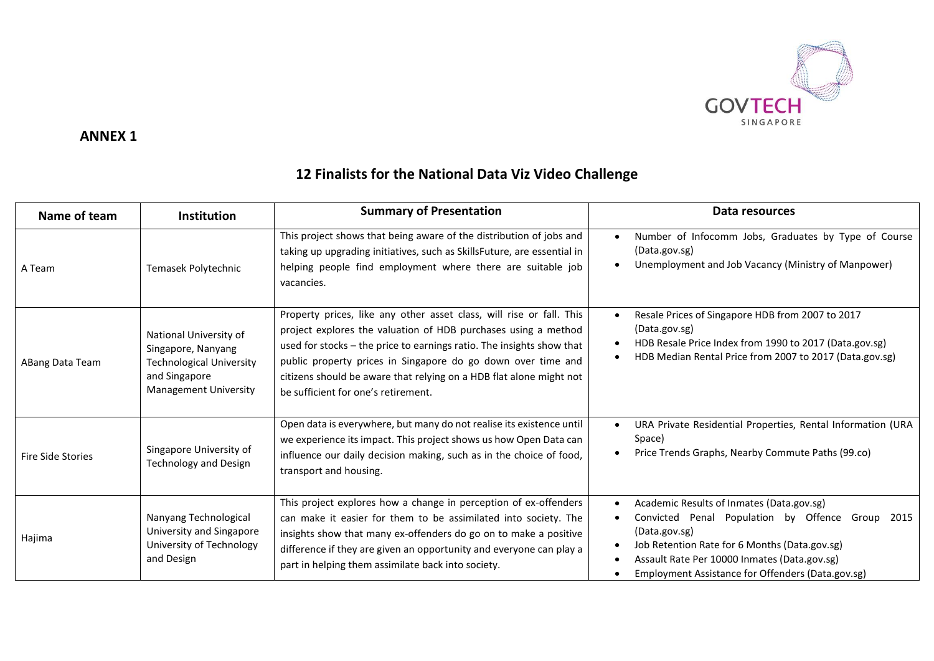

#### **ANNEX 1**

#### **Name of team Institution Institution I** Summary of Presentation **I Data Data** resources A Team Temasek Polytechnic This project shows that being aware of the distribution of jobs and taking up upgrading initiatives, such as SkillsFuture, are essential in helping people find employment where there are suitable job vacancies. Number of Infocomm Jobs, Graduates by Type of Course (Data.gov.sg) Unemployment and Job Vacancy (Ministry of Manpower) ABang Data Team National University of Singapore, Nanyang Technological University and Singapore Management University Property prices, like any other asset class, will rise or fall. This project explores the valuation of HDB purchases using a method used for stocks – the price to earnings ratio. The insights show that public property prices in Singapore do go down over time and citizens should be aware that relying on a HDB flat alone might not be sufficient for one's retirement. Resale Prices of Singapore HDB from 2007 to 2017 (Data.gov.sg) HDB Resale Price Index from 1990 to 2017 (Data.gov.sg) HDB Median Rental Price from 2007 to 2017 (Data.gov.sg) Fire Side Stories Singapore University of Technology and Design Open data is everywhere, but many do not realise its existence until we experience its impact. This project shows us how Open Data can influence our daily decision making, such as in the choice of food, transport and housing. URA Private Residential Properties, Rental Information (URA Space) • Price Trends Graphs, Nearby Commute Paths (99.co) Hajima Nanyang Technological University and Singapore University of Technology and Design This project explores how a change in perception of ex-offenders can make it easier for them to be assimilated into society. The insights show that many ex-offenders do go on to make a positive difference if they are given an opportunity and everyone can play a part in helping them assimilate back into society. Academic Results of Inmates (Data.gov.sg) Convicted Penal Population by Offence Group 2015 (Data.gov.sg) Job Retention Rate for 6 Months (Data.gov.sg) Assault Rate Per 10000 Inmates (Data.gov.sg) Employment Assistance for Offenders (Data.gov.sg)

### **12 Finalists for the National Data Viz Video Challenge**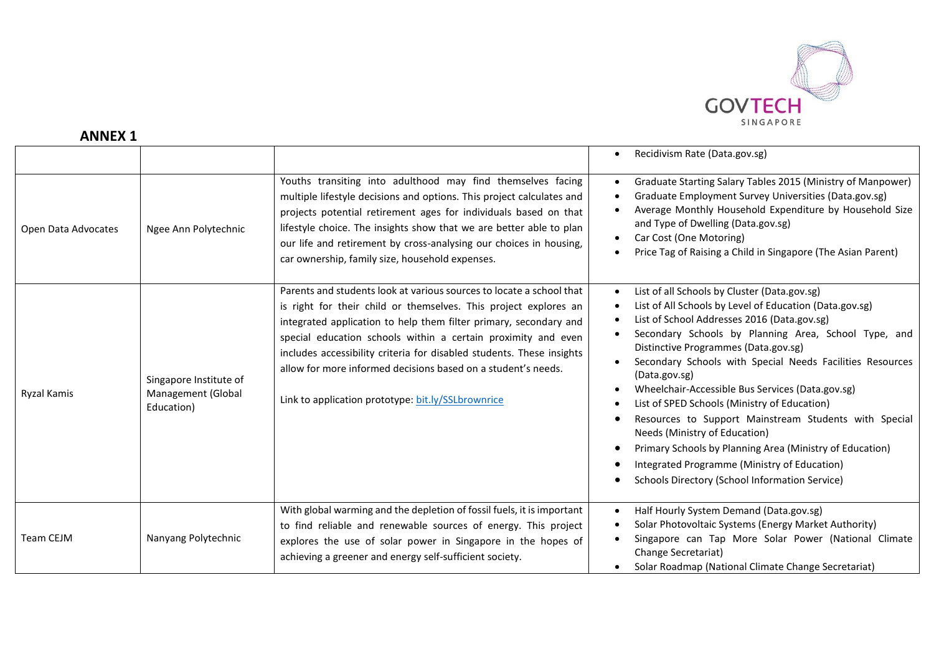

# **ANNEX 1**

|                     |                                                            |                                                                                                                                                                                                                                                                                                                                                                                                                                                                                | Recidivism Rate (Data.gov.sg)                                                                                                                                                                                                                                                                                                                                                                                                                                                                                                                                                                                                                                                                    |
|---------------------|------------------------------------------------------------|--------------------------------------------------------------------------------------------------------------------------------------------------------------------------------------------------------------------------------------------------------------------------------------------------------------------------------------------------------------------------------------------------------------------------------------------------------------------------------|--------------------------------------------------------------------------------------------------------------------------------------------------------------------------------------------------------------------------------------------------------------------------------------------------------------------------------------------------------------------------------------------------------------------------------------------------------------------------------------------------------------------------------------------------------------------------------------------------------------------------------------------------------------------------------------------------|
| Open Data Advocates | Ngee Ann Polytechnic                                       | Youths transiting into adulthood may find themselves facing<br>multiple lifestyle decisions and options. This project calculates and<br>projects potential retirement ages for individuals based on that<br>lifestyle choice. The insights show that we are better able to plan<br>our life and retirement by cross-analysing our choices in housing,<br>car ownership, family size, household expenses.                                                                       | Graduate Starting Salary Tables 2015 (Ministry of Manpower)<br>Graduate Employment Survey Universities (Data.gov.sg)<br>Average Monthly Household Expenditure by Household Size<br>and Type of Dwelling (Data.gov.sg)<br>Car Cost (One Motoring)<br>Price Tag of Raising a Child in Singapore (The Asian Parent)                                                                                                                                                                                                                                                                                                                                                                                 |
| <b>Ryzal Kamis</b>  | Singapore Institute of<br>Management (Global<br>Education) | Parents and students look at various sources to locate a school that<br>is right for their child or themselves. This project explores an<br>integrated application to help them filter primary, secondary and<br>special education schools within a certain proximity and even<br>includes accessibility criteria for disabled students. These insights<br>allow for more informed decisions based on a student's needs.<br>Link to application prototype: bit.ly/SSLbrownrice | List of all Schools by Cluster (Data.gov.sg)<br>List of All Schools by Level of Education (Data.gov.sg)<br>List of School Addresses 2016 (Data.gov.sg)<br>Secondary Schools by Planning Area, School Type, and<br>Distinctive Programmes (Data.gov.sg)<br>Secondary Schools with Special Needs Facilities Resources<br>(Data.gov.sg)<br>Wheelchair-Accessible Bus Services (Data.gov.sg)<br>List of SPED Schools (Ministry of Education)<br>Resources to Support Mainstream Students with Special<br>Needs (Ministry of Education)<br>Primary Schools by Planning Area (Ministry of Education)<br>Integrated Programme (Ministry of Education)<br>Schools Directory (School Information Service) |
| Team CEJM           | Nanyang Polytechnic                                        | With global warming and the depletion of fossil fuels, it is important<br>to find reliable and renewable sources of energy. This project<br>explores the use of solar power in Singapore in the hopes of<br>achieving a greener and energy self-sufficient society.                                                                                                                                                                                                            | Half Hourly System Demand (Data.gov.sg)<br>Solar Photovoltaic Systems (Energy Market Authority)<br>Singapore can Tap More Solar Power (National Climate<br>Change Secretariat)<br>Solar Roadmap (National Climate Change Secretariat)                                                                                                                                                                                                                                                                                                                                                                                                                                                            |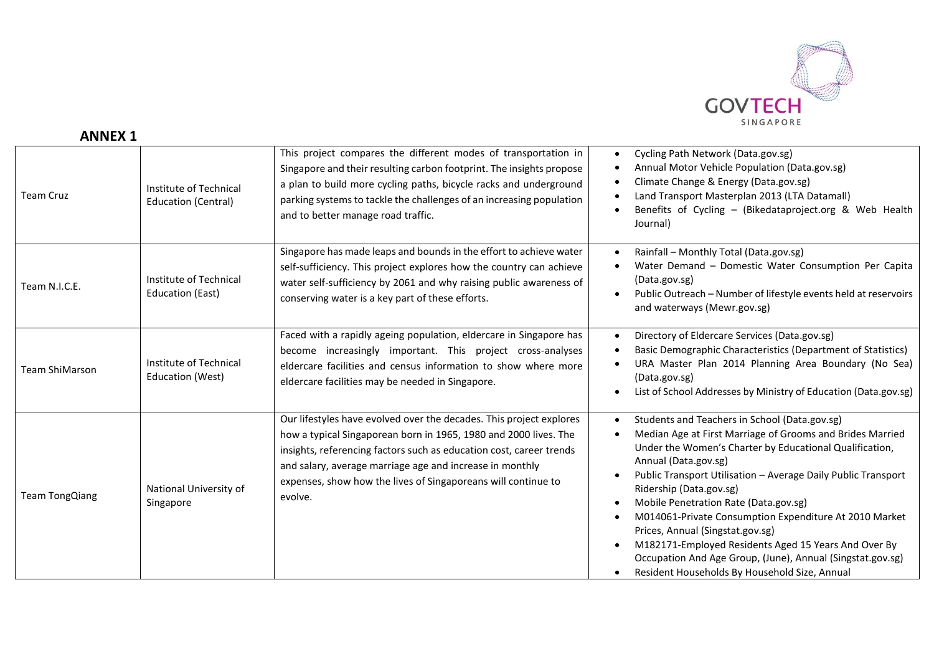

## **ANNEX 1**

| <b>Team Cruz</b>      | Institute of Technical<br><b>Education (Central)</b> | This project compares the different modes of transportation in<br>Singapore and their resulting carbon footprint. The insights propose<br>a plan to build more cycling paths, bicycle racks and underground<br>parking systems to tackle the challenges of an increasing population<br>and to better manage road traffic.                              | Cycling Path Network (Data.gov.sg)<br>Annual Motor Vehicle Population (Data.gov.sg)<br>Climate Change & Energy (Data.gov.sg)<br>Land Transport Masterplan 2013 (LTA Datamall)<br>Benefits of Cycling - (Bikedataproject.org & Web Health<br>Journal)                                                                                                                                                                                                                                                                                                                                                    |
|-----------------------|------------------------------------------------------|--------------------------------------------------------------------------------------------------------------------------------------------------------------------------------------------------------------------------------------------------------------------------------------------------------------------------------------------------------|---------------------------------------------------------------------------------------------------------------------------------------------------------------------------------------------------------------------------------------------------------------------------------------------------------------------------------------------------------------------------------------------------------------------------------------------------------------------------------------------------------------------------------------------------------------------------------------------------------|
| Team N.I.C.E.         | Institute of Technical<br><b>Education (East)</b>    | Singapore has made leaps and bounds in the effort to achieve water<br>self-sufficiency. This project explores how the country can achieve<br>water self-sufficiency by 2061 and why raising public awareness of<br>conserving water is a key part of these efforts.                                                                                    | Rainfall - Monthly Total (Data.gov.sg)<br>Water Demand - Domestic Water Consumption Per Capita<br>(Data.gov.sg)<br>Public Outreach - Number of lifestyle events held at reservoirs<br>and waterways (Mewr.gov.sg)                                                                                                                                                                                                                                                                                                                                                                                       |
| <b>Team ShiMarson</b> | Institute of Technical<br>Education (West)           | Faced with a rapidly ageing population, eldercare in Singapore has<br>become increasingly important. This project cross-analyses<br>eldercare facilities and census information to show where more<br>eldercare facilities may be needed in Singapore.                                                                                                 | Directory of Eldercare Services (Data.gov.sg)<br>Basic Demographic Characteristics (Department of Statistics)<br>URA Master Plan 2014 Planning Area Boundary (No Sea)<br>(Data.gov.sg)<br>List of School Addresses by Ministry of Education (Data.gov.sg)                                                                                                                                                                                                                                                                                                                                               |
| <b>Team TongQiang</b> | National University of<br>Singapore                  | Our lifestyles have evolved over the decades. This project explores<br>how a typical Singaporean born in 1965, 1980 and 2000 lives. The<br>insights, referencing factors such as education cost, career trends<br>and salary, average marriage age and increase in monthly<br>expenses, show how the lives of Singaporeans will continue to<br>evolve. | Students and Teachers in School (Data.gov.sg)<br>Median Age at First Marriage of Grooms and Brides Married<br>Under the Women's Charter by Educational Qualification,<br>Annual (Data.gov.sg)<br>Public Transport Utilisation - Average Daily Public Transport<br>Ridership (Data.gov.sg)<br>Mobile Penetration Rate (Data.gov.sg)<br>M014061-Private Consumption Expenditure At 2010 Market<br>Prices, Annual (Singstat.gov.sg)<br>M182171-Employed Residents Aged 15 Years And Over By<br>Occupation And Age Group, (June), Annual (Singstat.gov.sg)<br>Resident Households By Household Size, Annual |